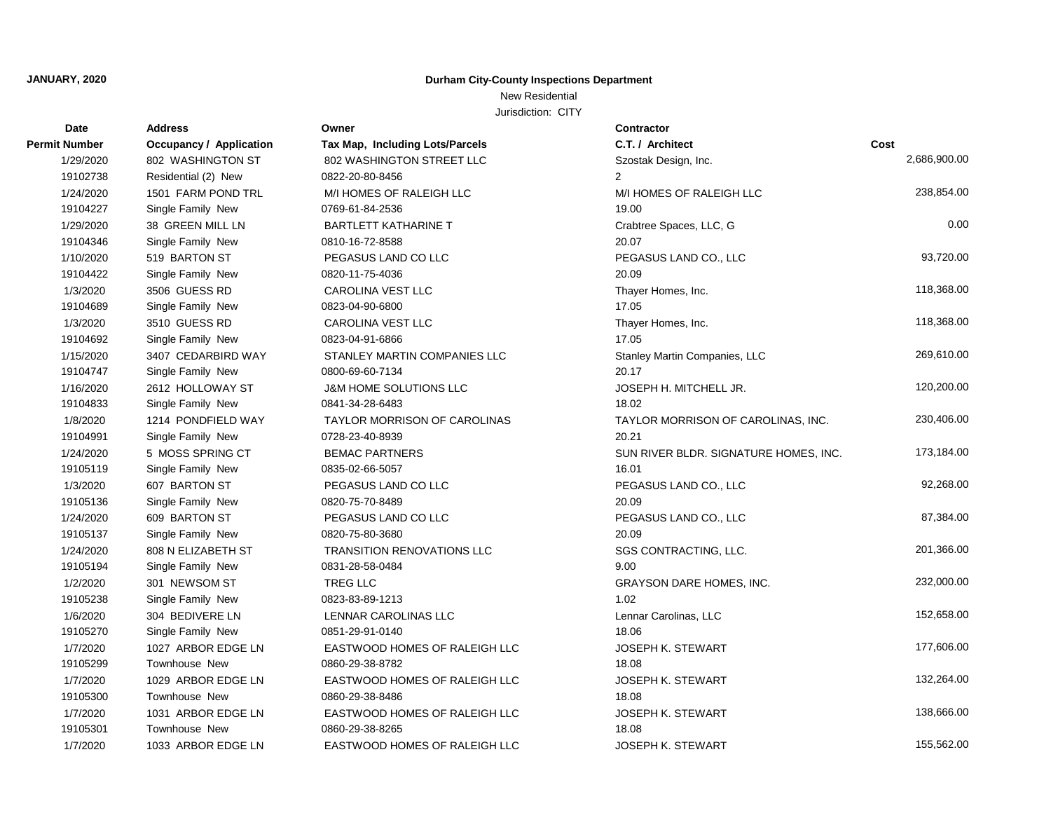# New Residential

| Date                 | <b>Address</b>                 | Owner                             | Contractor                            |              |
|----------------------|--------------------------------|-----------------------------------|---------------------------------------|--------------|
| <b>Permit Number</b> | <b>Occupancy / Application</b> | Tax Map, Including Lots/Parcels   | C.T. / Architect                      | Cost         |
| 1/29/2020            | 802 WASHINGTON ST              | 802 WASHINGTON STREET LLC         | Szostak Design, Inc.                  | 2,686,900.00 |
| 19102738             | Residential (2) New            | 0822-20-80-8456                   | $\overline{2}$                        |              |
| 1/24/2020            | 1501 FARM POND TRL             | M/I HOMES OF RALEIGH LLC          | M/I HOMES OF RALEIGH LLC              | 238,854.00   |
| 19104227             | Single Family New              | 0769-61-84-2536                   | 19.00                                 |              |
| 1/29/2020            | 38 GREEN MILL LN               | <b>BARTLETT KATHARINE T</b>       | Crabtree Spaces, LLC, G               | 0.00         |
| 19104346             | Single Family New              | 0810-16-72-8588                   | 20.07                                 |              |
| 1/10/2020            | 519 BARTON ST                  | PEGASUS LAND CO LLC               | PEGASUS LAND CO., LLC                 | 93,720.00    |
| 19104422             | Single Family New              | 0820-11-75-4036                   | 20.09                                 |              |
| 1/3/2020             | 3506 GUESS RD                  | CAROLINA VEST LLC                 | Thayer Homes, Inc.                    | 118,368.00   |
| 19104689             | Single Family New              | 0823-04-90-6800                   | 17.05                                 |              |
| 1/3/2020             | 3510 GUESS RD                  | <b>CAROLINA VEST LLC</b>          | Thayer Homes, Inc.                    | 118,368.00   |
| 19104692             | Single Family New              | 0823-04-91-6866                   | 17.05                                 |              |
| 1/15/2020            | 3407 CEDARBIRD WAY             | STANLEY MARTIN COMPANIES LLC      | Stanley Martin Companies, LLC         | 269,610.00   |
| 19104747             | Single Family New              | 0800-69-60-7134                   | 20.17                                 |              |
| 1/16/2020            | 2612 HOLLOWAY ST               | J&M HOME SOLUTIONS LLC            | JOSEPH H. MITCHELL JR.                | 120,200.00   |
| 19104833             | Single Family New              | 0841-34-28-6483                   | 18.02                                 |              |
| 1/8/2020             | 1214 PONDFIELD WAY             | TAYLOR MORRISON OF CAROLINAS      | TAYLOR MORRISON OF CAROLINAS, INC.    | 230,406.00   |
| 19104991             | Single Family New              | 0728-23-40-8939                   | 20.21                                 |              |
| 1/24/2020            | 5 MOSS SPRING CT               | <b>BEMAC PARTNERS</b>             | SUN RIVER BLDR. SIGNATURE HOMES, INC. | 173,184.00   |
| 19105119             | Single Family New              | 0835-02-66-5057                   | 16.01                                 |              |
| 1/3/2020             | 607 BARTON ST                  | PEGASUS LAND CO LLC               | PEGASUS LAND CO., LLC                 | 92,268.00    |
| 19105136             | Single Family New              | 0820-75-70-8489                   | 20.09                                 |              |
| 1/24/2020            | 609 BARTON ST                  | PEGASUS LAND CO LLC               | PEGASUS LAND CO., LLC                 | 87,384.00    |
| 19105137             | Single Family New              | 0820-75-80-3680                   | 20.09                                 |              |
| 1/24/2020            | 808 N ELIZABETH ST             | <b>TRANSITION RENOVATIONS LLC</b> | SGS CONTRACTING, LLC.                 | 201,366.00   |
| 19105194             | Single Family New              | 0831-28-58-0484                   | 9.00                                  |              |
| 1/2/2020             | 301 NEWSOM ST                  | TREG LLC                          | GRAYSON DARE HOMES, INC.              | 232,000.00   |
| 19105238             | Single Family New              | 0823-83-89-1213                   | 1.02                                  |              |
| 1/6/2020             | 304 BEDIVERE LN                | LENNAR CAROLINAS LLC              | Lennar Carolinas, LLC                 | 152,658.00   |
| 19105270             | Single Family New              | 0851-29-91-0140                   | 18.06                                 |              |
| 1/7/2020             | 1027 ARBOR EDGE LN             | EASTWOOD HOMES OF RALEIGH LLC     | JOSEPH K. STEWART                     | 177,606.00   |
| 19105299             | Townhouse New                  | 0860-29-38-8782                   | 18.08                                 |              |
| 1/7/2020             | 1029 ARBOR EDGE LN             | EASTWOOD HOMES OF RALEIGH LLC     | <b>JOSEPH K. STEWART</b>              | 132,264.00   |
| 19105300             | Townhouse New                  | 0860-29-38-8486                   | 18.08                                 |              |
| 1/7/2020             | 1031 ARBOR EDGE LN             | EASTWOOD HOMES OF RALEIGH LLC     | <b>JOSEPH K. STEWART</b>              | 138,666.00   |
| 19105301             | Townhouse New                  | 0860-29-38-8265                   | 18.08                                 |              |
| 1/7/2020             | 1033 ARBOR EDGE LN             | EASTWOOD HOMES OF RALEIGH LLC     | JOSEPH K. STEWART                     | 155,562.00   |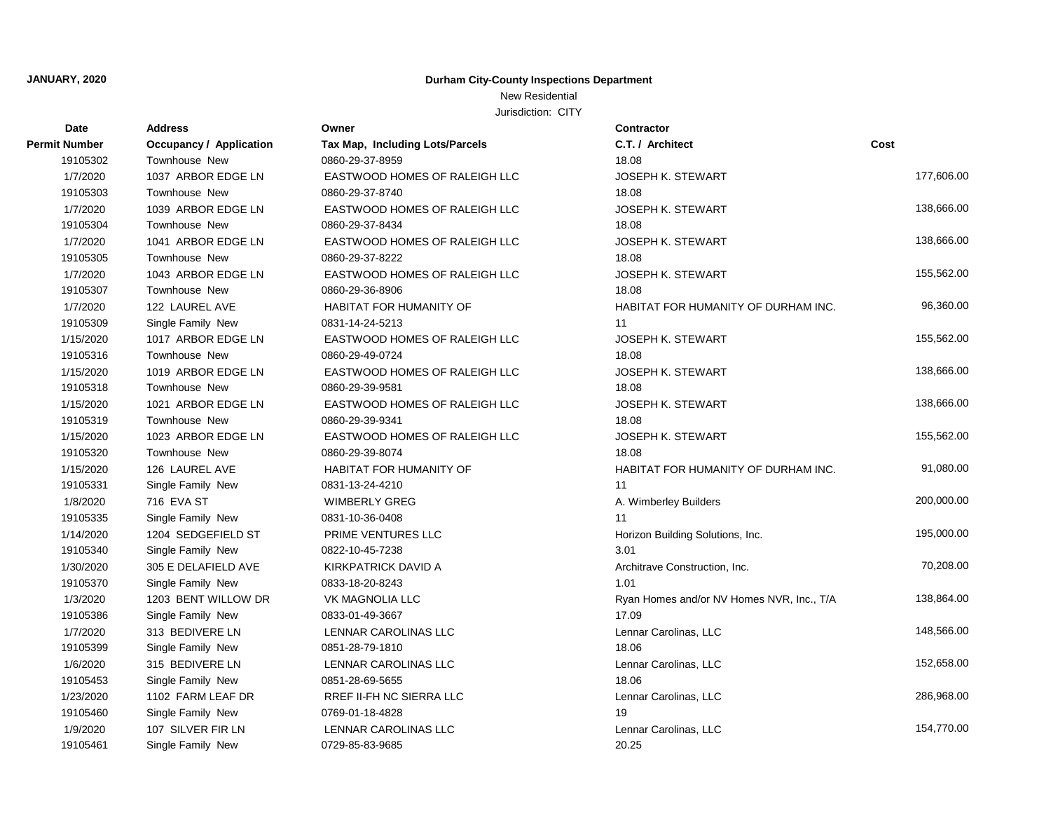# New Residential

| Date                 | <b>Address</b>                 | Owner                           | Contractor                                |            |
|----------------------|--------------------------------|---------------------------------|-------------------------------------------|------------|
| <b>Permit Number</b> | <b>Occupancy / Application</b> | Tax Map, Including Lots/Parcels | C.T. / Architect                          | Cost       |
| 19105302             | Townhouse New                  | 0860-29-37-8959                 | 18.08                                     |            |
| 1/7/2020             | 1037 ARBOR EDGE LN             | EASTWOOD HOMES OF RALEIGH LLC   | <b>JOSEPH K. STEWART</b>                  | 177,606.00 |
| 19105303             | <b>Townhouse New</b>           | 0860-29-37-8740                 | 18.08                                     |            |
| 1/7/2020             | 1039 ARBOR EDGE LN             | EASTWOOD HOMES OF RALEIGH LLC   | <b>JOSEPH K. STEWART</b>                  | 138,666.00 |
| 19105304             | <b>Townhouse New</b>           | 0860-29-37-8434                 | 18.08                                     |            |
| 1/7/2020             | 1041 ARBOR EDGE LN             | EASTWOOD HOMES OF RALEIGH LLC   | <b>JOSEPH K. STEWART</b>                  | 138,666.00 |
| 19105305             | Townhouse New                  | 0860-29-37-8222                 | 18.08                                     |            |
| 1/7/2020             | 1043 ARBOR EDGE LN             | EASTWOOD HOMES OF RALEIGH LLC   | JOSEPH K. STEWART                         | 155,562.00 |
| 19105307             | Townhouse New                  | 0860-29-36-8906                 | 18.08                                     |            |
| 1/7/2020             | 122 LAUREL AVE                 | HABITAT FOR HUMANITY OF         | HABITAT FOR HUMANITY OF DURHAM INC.       | 96,360.00  |
| 19105309             | Single Family New              | 0831-14-24-5213                 | 11                                        |            |
| 1/15/2020            | 1017 ARBOR EDGE LN             | EASTWOOD HOMES OF RALEIGH LLC   | <b>JOSEPH K. STEWART</b>                  | 155,562.00 |
| 19105316             | Townhouse New                  | 0860-29-49-0724                 | 18.08                                     |            |
| 1/15/2020            | 1019 ARBOR EDGE LN             | EASTWOOD HOMES OF RALEIGH LLC   | <b>JOSEPH K. STEWART</b>                  | 138,666.00 |
| 19105318             | <b>Townhouse New</b>           | 0860-29-39-9581                 | 18.08                                     |            |
| 1/15/2020            | 1021 ARBOR EDGE LN             | EASTWOOD HOMES OF RALEIGH LLC   | <b>JOSEPH K. STEWART</b>                  | 138,666.00 |
| 19105319             | Townhouse New                  | 0860-29-39-9341                 | 18.08                                     |            |
| 1/15/2020            | 1023 ARBOR EDGE LN             | EASTWOOD HOMES OF RALEIGH LLC   | <b>JOSEPH K. STEWART</b>                  | 155,562.00 |
| 19105320             | Townhouse New                  | 0860-29-39-8074                 | 18.08                                     |            |
| 1/15/2020            | 126 LAUREL AVE                 | HABITAT FOR HUMANITY OF         | HABITAT FOR HUMANITY OF DURHAM INC.       | 91,080.00  |
| 19105331             | Single Family New              | 0831-13-24-4210                 | 11                                        |            |
| 1/8/2020             | 716 EVA ST                     | <b>WIMBERLY GREG</b>            | A. Wimberley Builders                     | 200,000.00 |
| 19105335             | Single Family New              | 0831-10-36-0408                 | 11                                        |            |
| 1/14/2020            | 1204 SEDGEFIELD ST             | PRIME VENTURES LLC              | Horizon Building Solutions, Inc.          | 195,000.00 |
| 19105340             | Single Family New              | 0822-10-45-7238                 | 3.01                                      |            |
| 1/30/2020            | 305 E DELAFIELD AVE            | KIRKPATRICK DAVID A             | Architrave Construction, Inc.             | 70,208.00  |
| 19105370             | Single Family New              | 0833-18-20-8243                 | 1.01                                      |            |
| 1/3/2020             | 1203 BENT WILLOW DR            | VK MAGNOLIA LLC                 | Ryan Homes and/or NV Homes NVR, Inc., T/A | 138,864.00 |
| 19105386             | Single Family New              | 0833-01-49-3667                 | 17.09                                     |            |
| 1/7/2020             | 313 BEDIVERE LN                | LENNAR CAROLINAS LLC            | Lennar Carolinas, LLC                     | 148,566.00 |
| 19105399             | Single Family New              | 0851-28-79-1810                 | 18.06                                     |            |
| 1/6/2020             | 315 BEDIVERE LN                | LENNAR CAROLINAS LLC            | Lennar Carolinas, LLC                     | 152,658.00 |
| 19105453             | Single Family New              | 0851-28-69-5655                 | 18.06                                     |            |
| 1/23/2020            | 1102 FARM LEAF DR              | RREF II-FH NC SIERRA LLC        | Lennar Carolinas, LLC                     | 286,968.00 |
| 19105460             | Single Family New              | 0769-01-18-4828                 | 19                                        |            |
| 1/9/2020             | 107 SILVER FIR LN              | LENNAR CAROLINAS LLC            | Lennar Carolinas, LLC                     | 154,770.00 |
| 19105461             | Single Family New              | 0729-85-83-9685                 | 20.25                                     |            |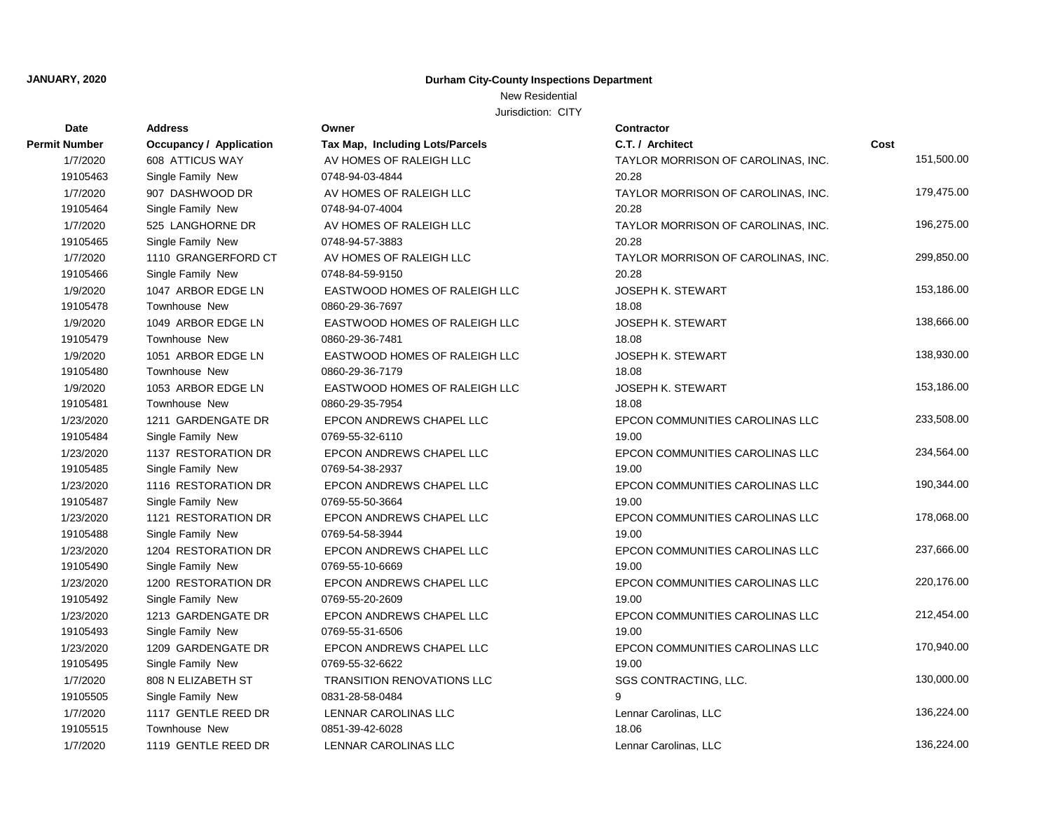# New Residential

| Date                 | <b>Address</b>                 | Owner                             | <b>Contractor</b>                  |            |
|----------------------|--------------------------------|-----------------------------------|------------------------------------|------------|
| <b>Permit Number</b> | <b>Occupancy / Application</b> | Tax Map, Including Lots/Parcels   | C.T. / Architect                   | Cost       |
| 1/7/2020             | 608 ATTICUS WAY                | AV HOMES OF RALEIGH LLC           | TAYLOR MORRISON OF CAROLINAS, INC. | 151,500.00 |
| 19105463             | Single Family New              | 0748-94-03-4844                   | 20.28                              |            |
| 1/7/2020             | 907 DASHWOOD DR                | AV HOMES OF RALEIGH LLC           | TAYLOR MORRISON OF CAROLINAS, INC. | 179,475.00 |
| 19105464             | Single Family New              | 0748-94-07-4004                   | 20.28                              |            |
| 1/7/2020             | 525 LANGHORNE DR               | AV HOMES OF RALEIGH LLC           | TAYLOR MORRISON OF CAROLINAS, INC. | 196,275.00 |
| 19105465             | Single Family New              | 0748-94-57-3883                   | 20.28                              |            |
| 1/7/2020             | 1110 GRANGERFORD CT            | AV HOMES OF RALEIGH LLC           | TAYLOR MORRISON OF CAROLINAS, INC. | 299,850.00 |
| 19105466             | Single Family New              | 0748-84-59-9150                   | 20.28                              |            |
| 1/9/2020             | 1047 ARBOR EDGE LN             | EASTWOOD HOMES OF RALEIGH LLC     | <b>JOSEPH K. STEWART</b>           | 153,186.00 |
| 19105478             | <b>Townhouse New</b>           | 0860-29-36-7697                   | 18.08                              |            |
| 1/9/2020             | 1049 ARBOR EDGE LN             | EASTWOOD HOMES OF RALEIGH LLC     | <b>JOSEPH K. STEWART</b>           | 138,666.00 |
| 19105479             | Townhouse New                  | 0860-29-36-7481                   | 18.08                              |            |
| 1/9/2020             | 1051 ARBOR EDGE LN             | EASTWOOD HOMES OF RALEIGH LLC     | JOSEPH K. STEWART                  | 138,930.00 |
| 19105480             | <b>Townhouse New</b>           | 0860-29-36-7179                   | 18.08                              |            |
| 1/9/2020             | 1053 ARBOR EDGE LN             | EASTWOOD HOMES OF RALEIGH LLC     | <b>JOSEPH K. STEWART</b>           | 153,186.00 |
| 19105481             | Townhouse New                  | 0860-29-35-7954                   | 18.08                              |            |
| 1/23/2020            | 1211 GARDENGATE DR             | EPCON ANDREWS CHAPEL LLC          | EPCON COMMUNITIES CAROLINAS LLC    | 233,508.00 |
| 19105484             | Single Family New              | 0769-55-32-6110                   | 19.00                              |            |
| 1/23/2020            | 1137 RESTORATION DR            | EPCON ANDREWS CHAPEL LLC          | EPCON COMMUNITIES CAROLINAS LLC    | 234,564.00 |
| 19105485             | Single Family New              | 0769-54-38-2937                   | 19.00                              |            |
| 1/23/2020            | 1116 RESTORATION DR            | EPCON ANDREWS CHAPEL LLC          | EPCON COMMUNITIES CAROLINAS LLC    | 190,344.00 |
| 19105487             | Single Family New              | 0769-55-50-3664                   | 19.00                              |            |
| 1/23/2020            | 1121 RESTORATION DR            | EPCON ANDREWS CHAPEL LLC          | EPCON COMMUNITIES CAROLINAS LLC    | 178,068.00 |
| 19105488             | Single Family New              | 0769-54-58-3944                   | 19.00                              |            |
| 1/23/2020            | 1204 RESTORATION DR            | EPCON ANDREWS CHAPEL LLC          | EPCON COMMUNITIES CAROLINAS LLC    | 237,666.00 |
| 19105490             | Single Family New              | 0769-55-10-6669                   | 19.00                              |            |
| 1/23/2020            | 1200 RESTORATION DR            | EPCON ANDREWS CHAPEL LLC          | EPCON COMMUNITIES CAROLINAS LLC    | 220,176.00 |
| 19105492             | Single Family New              | 0769-55-20-2609                   | 19.00                              |            |
| 1/23/2020            | 1213 GARDENGATE DR             | EPCON ANDREWS CHAPEL LLC          | EPCON COMMUNITIES CAROLINAS LLC    | 212,454.00 |
| 19105493             | Single Family New              | 0769-55-31-6506                   | 19.00                              |            |
| 1/23/2020            | 1209 GARDENGATE DR             | EPCON ANDREWS CHAPEL LLC          | EPCON COMMUNITIES CAROLINAS LLC    | 170,940.00 |
| 19105495             | Single Family New              | 0769-55-32-6622                   | 19.00                              |            |
| 1/7/2020             | 808 N ELIZABETH ST             | <b>TRANSITION RENOVATIONS LLC</b> | SGS CONTRACTING, LLC.              | 130,000.00 |
| 19105505             | Single Family New              | 0831-28-58-0484                   | 9                                  |            |
| 1/7/2020             | 1117 GENTLE REED DR            | LENNAR CAROLINAS LLC              | Lennar Carolinas, LLC              | 136,224.00 |
| 19105515             | Townhouse New                  | 0851-39-42-6028                   | 18.06                              |            |
| 1/7/2020             | 1119 GENTLE REED DR            | LENNAR CAROLINAS LLC              | Lennar Carolinas, LLC              | 136.224.00 |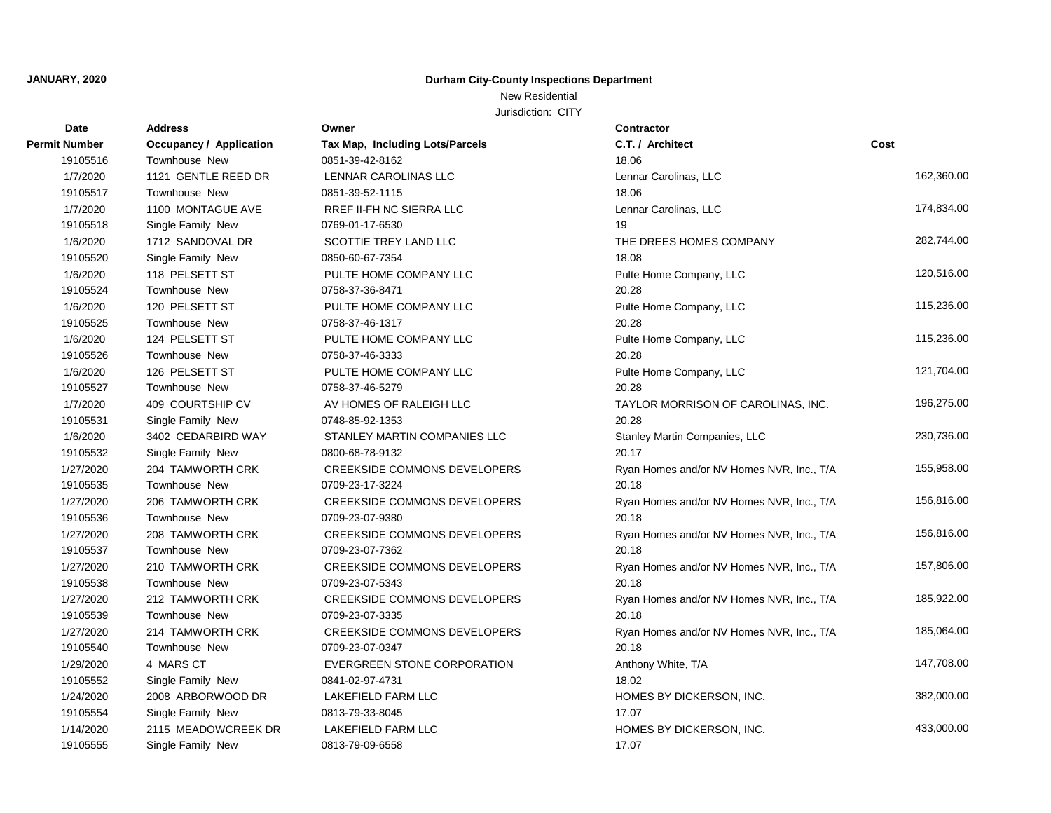# New Residential

| <b>Date</b>          | <b>Address</b>                 | Owner                               | Contractor                                |            |
|----------------------|--------------------------------|-------------------------------------|-------------------------------------------|------------|
| <b>Permit Number</b> | <b>Occupancy / Application</b> | Tax Map, Including Lots/Parcels     | C.T. / Architect                          | Cost       |
| 19105516             | Townhouse New                  | 0851-39-42-8162                     | 18.06                                     |            |
| 1/7/2020             | 1121 GENTLE REED DR            | LENNAR CAROLINAS LLC                | Lennar Carolinas, LLC                     | 162,360.00 |
| 19105517             | Townhouse New                  | 0851-39-52-1115                     | 18.06                                     |            |
| 1/7/2020             | 1100 MONTAGUE AVE              | RREF II-FH NC SIERRA LLC            | Lennar Carolinas, LLC                     | 174,834.00 |
| 19105518             | Single Family New              | 0769-01-17-6530                     | 19                                        |            |
| 1/6/2020             | 1712 SANDOVAL DR               | SCOTTIE TREY LAND LLC               | THE DREES HOMES COMPANY                   | 282,744.00 |
| 19105520             | Single Family New              | 0850-60-67-7354                     | 18.08                                     |            |
| 1/6/2020             | 118 PELSETT ST                 | PULTE HOME COMPANY LLC              | Pulte Home Company, LLC                   | 120,516.00 |
| 19105524             | Townhouse New                  | 0758-37-36-8471                     | 20.28                                     |            |
| 1/6/2020             | 120 PELSETT ST                 | PULTE HOME COMPANY LLC              | Pulte Home Company, LLC                   | 115,236.00 |
| 19105525             | Townhouse New                  | 0758-37-46-1317                     | 20.28                                     |            |
| 1/6/2020             | 124 PELSETT ST                 | PULTE HOME COMPANY LLC              | Pulte Home Company, LLC                   | 115,236.00 |
| 19105526             | Townhouse New                  | 0758-37-46-3333                     | 20.28                                     |            |
| 1/6/2020             | 126 PELSETT ST                 | PULTE HOME COMPANY LLC              | Pulte Home Company, LLC                   | 121,704.00 |
| 19105527             | <b>Townhouse New</b>           | 0758-37-46-5279                     | 20.28                                     |            |
| 1/7/2020             | 409 COURTSHIP CV               | AV HOMES OF RALEIGH LLC             | TAYLOR MORRISON OF CAROLINAS, INC.        | 196,275.00 |
| 19105531             | Single Family New              | 0748-85-92-1353                     | 20.28                                     |            |
| 1/6/2020             | 3402 CEDARBIRD WAY             | STANLEY MARTIN COMPANIES LLC        | Stanley Martin Companies, LLC             | 230,736.00 |
| 19105532             | Single Family New              | 0800-68-78-9132                     | 20.17                                     |            |
| 1/27/2020            | 204 TAMWORTH CRK               | CREEKSIDE COMMONS DEVELOPERS        | Ryan Homes and/or NV Homes NVR, Inc., T/A | 155,958.00 |
| 19105535             | Townhouse New                  | 0709-23-17-3224                     | 20.18                                     |            |
| 1/27/2020            | 206 TAMWORTH CRK               | <b>CREEKSIDE COMMONS DEVELOPERS</b> | Ryan Homes and/or NV Homes NVR, Inc., T/A | 156,816.00 |
| 19105536             | Townhouse New                  | 0709-23-07-9380                     | 20.18                                     |            |
| 1/27/2020            | 208 TAMWORTH CRK               | CREEKSIDE COMMONS DEVELOPERS        | Ryan Homes and/or NV Homes NVR, Inc., T/A | 156,816.00 |
| 19105537             | <b>Townhouse New</b>           | 0709-23-07-7362                     | 20.18                                     |            |
| 1/27/2020            | 210 TAMWORTH CRK               | <b>CREEKSIDE COMMONS DEVELOPERS</b> | Ryan Homes and/or NV Homes NVR, Inc., T/A | 157,806.00 |
| 19105538             | Townhouse New                  | 0709-23-07-5343                     | 20.18                                     |            |
| 1/27/2020            | 212 TAMWORTH CRK               | <b>CREEKSIDE COMMONS DEVELOPERS</b> | Ryan Homes and/or NV Homes NVR, Inc., T/A | 185,922.00 |
| 19105539             | Townhouse New                  | 0709-23-07-3335                     | 20.18                                     |            |
| 1/27/2020            | 214 TAMWORTH CRK               | CREEKSIDE COMMONS DEVELOPERS        | Ryan Homes and/or NV Homes NVR, Inc., T/A | 185,064.00 |
| 19105540             | Townhouse New                  | 0709-23-07-0347                     | 20.18                                     |            |
| 1/29/2020            | 4 MARS CT                      | <b>EVERGREEN STONE CORPORATION</b>  | Anthony White, T/A                        | 147,708.00 |
| 19105552             | Single Family New              | 0841-02-97-4731                     | 18.02                                     |            |
| 1/24/2020            | 2008 ARBORWOOD DR              | LAKEFIELD FARM LLC                  | HOMES BY DICKERSON, INC.                  | 382,000.00 |
| 19105554             | Single Family New              | 0813-79-33-8045                     | 17.07                                     |            |
| 1/14/2020            | 2115 MEADOWCREEK DR            | LAKEFIELD FARM LLC                  | HOMES BY DICKERSON, INC.                  | 433,000.00 |
| 19105555             | Single Family New              | 0813-79-09-6558                     | 17.07                                     |            |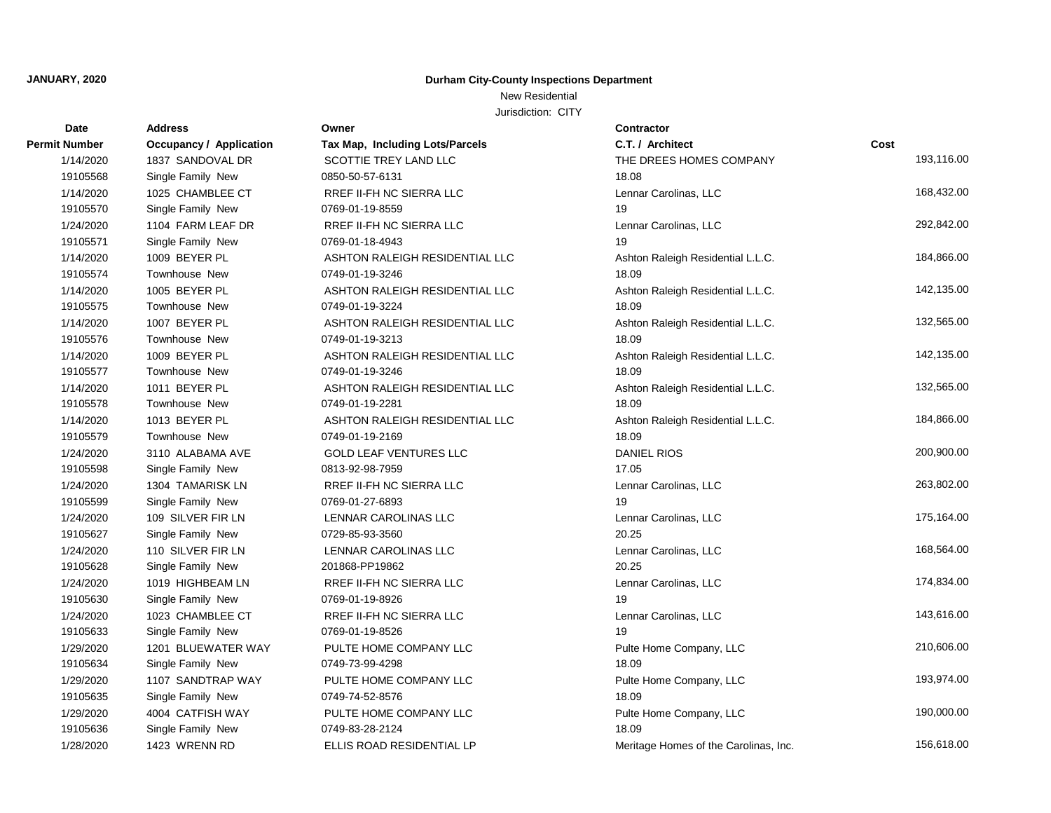# New Residential

| Date                 | <b>Address</b>                 | Owner                           | Contractor                            |            |
|----------------------|--------------------------------|---------------------------------|---------------------------------------|------------|
| <b>Permit Number</b> | <b>Occupancy / Application</b> | Tax Map, Including Lots/Parcels | C.T. / Architect                      | Cost       |
| 1/14/2020            | 1837 SANDOVAL DR               | SCOTTIE TREY LAND LLC           | THE DREES HOMES COMPANY               | 193,116.00 |
| 19105568             | Single Family New              | 0850-50-57-6131                 | 18.08                                 |            |
| 1/14/2020            | 1025 CHAMBLEE CT               | RREF II-FH NC SIERRA LLC        | Lennar Carolinas, LLC                 | 168,432.00 |
| 19105570             | Single Family New              | 0769-01-19-8559                 | 19                                    |            |
| 1/24/2020            | 1104 FARM LEAF DR              | RREF II-FH NC SIERRA LLC        | Lennar Carolinas, LLC                 | 292,842.00 |
| 19105571             | Single Family New              | 0769-01-18-4943                 | 19                                    |            |
| 1/14/2020            | 1009 BEYER PL                  | ASHTON RALEIGH RESIDENTIAL LLC  | Ashton Raleigh Residential L.L.C.     | 184,866.00 |
| 19105574             | Townhouse New                  | 0749-01-19-3246                 | 18.09                                 |            |
| 1/14/2020            | 1005 BEYER PL                  | ASHTON RALEIGH RESIDENTIAL LLC  | Ashton Raleigh Residential L.L.C.     | 142,135.00 |
| 19105575             | Townhouse New                  | 0749-01-19-3224                 | 18.09                                 |            |
| 1/14/2020            | 1007 BEYER PL                  | ASHTON RALEIGH RESIDENTIAL LLC  | Ashton Raleigh Residential L.L.C.     | 132,565.00 |
| 19105576             | Townhouse New                  | 0749-01-19-3213                 | 18.09                                 |            |
| 1/14/2020            | 1009 BEYER PL                  | ASHTON RALEIGH RESIDENTIAL LLC  | Ashton Raleigh Residential L.L.C.     | 142,135.00 |
| 19105577             | Townhouse New                  | 0749-01-19-3246                 | 18.09                                 |            |
| 1/14/2020            | 1011 BEYER PL                  | ASHTON RALEIGH RESIDENTIAL LLC  | Ashton Raleigh Residential L.L.C.     | 132,565.00 |
| 19105578             | Townhouse New                  | 0749-01-19-2281                 | 18.09                                 |            |
| 1/14/2020            | 1013 BEYER PL                  | ASHTON RALEIGH RESIDENTIAL LLC  | Ashton Raleigh Residential L.L.C.     | 184,866.00 |
| 19105579             | <b>Townhouse New</b>           | 0749-01-19-2169                 | 18.09                                 |            |
| 1/24/2020            | 3110 ALABAMA AVE               | <b>GOLD LEAF VENTURES LLC</b>   | <b>DANIEL RIOS</b>                    | 200,900.00 |
| 19105598             | Single Family New              | 0813-92-98-7959                 | 17.05                                 |            |
| 1/24/2020            | 1304 TAMARISK LN               | RREF II-FH NC SIERRA LLC        | Lennar Carolinas, LLC                 | 263,802.00 |
| 19105599             | Single Family New              | 0769-01-27-6893                 | 19                                    |            |
| 1/24/2020            | 109 SILVER FIR LN              | LENNAR CAROLINAS LLC            | Lennar Carolinas, LLC                 | 175,164.00 |
| 19105627             | Single Family New              | 0729-85-93-3560                 | 20.25                                 |            |
| 1/24/2020            | 110 SILVER FIR LN              | LENNAR CAROLINAS LLC            | Lennar Carolinas, LLC                 | 168,564.00 |
| 19105628             | Single Family New              | 201868-PP19862                  | 20.25                                 |            |
| 1/24/2020            | 1019 HIGHBEAM LN               | RREF II-FH NC SIERRA LLC        | Lennar Carolinas, LLC                 | 174,834.00 |
| 19105630             | Single Family New              | 0769-01-19-8926                 | 19                                    |            |
| 1/24/2020            | 1023 CHAMBLEE CT               | RREF II-FH NC SIERRA LLC        | Lennar Carolinas, LLC                 | 143,616.00 |
| 19105633             | Single Family New              | 0769-01-19-8526                 | 19                                    |            |
| 1/29/2020            | 1201 BLUEWATER WAY             | PULTE HOME COMPANY LLC          | Pulte Home Company, LLC               | 210,606.00 |
| 19105634             | Single Family New              | 0749-73-99-4298                 | 18.09                                 |            |
| 1/29/2020            | 1107 SANDTRAP WAY              | PULTE HOME COMPANY LLC          | Pulte Home Company, LLC               | 193,974.00 |
| 19105635             | Single Family New              | 0749-74-52-8576                 | 18.09                                 |            |
| 1/29/2020            | 4004 CATFISH WAY               | PULTE HOME COMPANY LLC          | Pulte Home Company, LLC               | 190,000.00 |
| 19105636             | Single Family New              | 0749-83-28-2124                 | 18.09                                 |            |
| 1/28/2020            | 1423 WRENN RD                  | ELLIS ROAD RESIDENTIAL LP       | Meritage Homes of the Carolinas, Inc. | 156,618.00 |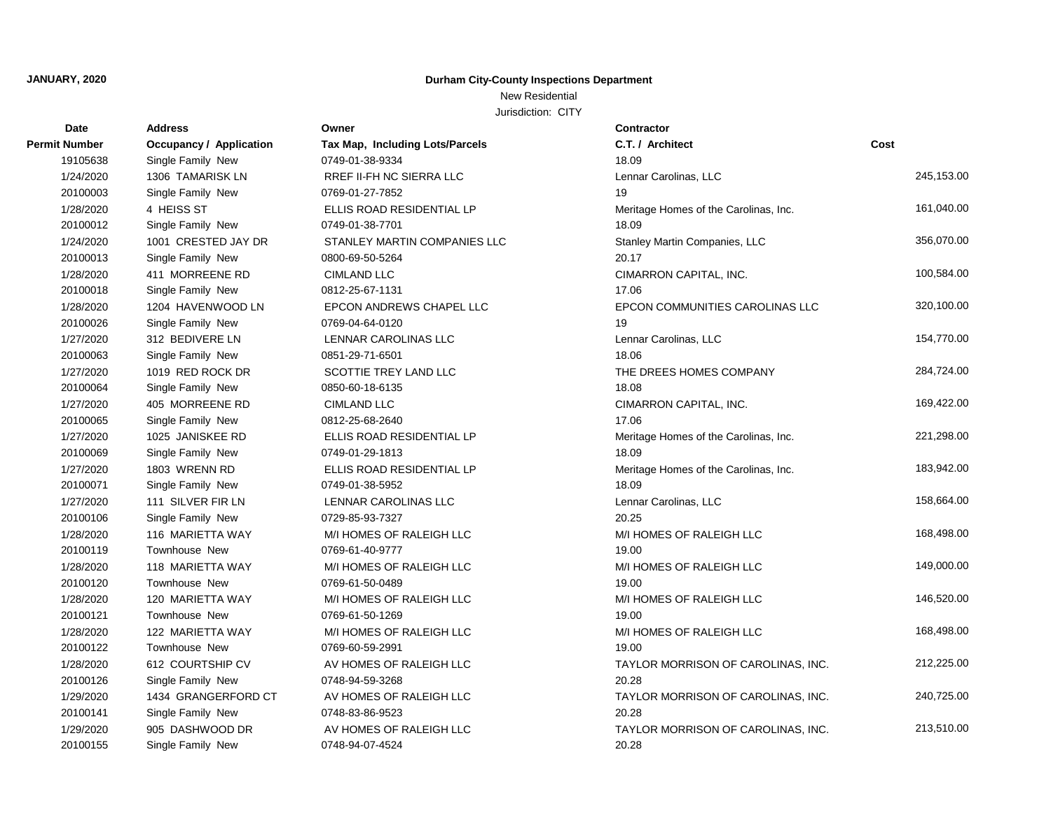# New Residential

| Date                 | <b>Address</b>                 | Owner                                  | <b>Contractor</b>                     |            |
|----------------------|--------------------------------|----------------------------------------|---------------------------------------|------------|
| <b>Permit Number</b> | <b>Occupancy / Application</b> | <b>Tax Map, Including Lots/Parcels</b> | C.T. / Architect                      | Cost       |
| 19105638             | Single Family New              | 0749-01-38-9334                        | 18.09                                 |            |
| 1/24/2020            | 1306 TAMARISK LN               | RREF II-FH NC SIERRA LLC               | Lennar Carolinas, LLC                 | 245,153.00 |
| 20100003             | Single Family New              | 0769-01-27-7852                        | 19                                    |            |
| 1/28/2020            | 4 HEISS ST                     | ELLIS ROAD RESIDENTIAL LP              | Meritage Homes of the Carolinas, Inc. | 161,040.00 |
| 20100012             | Single Family New              | 0749-01-38-7701                        | 18.09                                 |            |
| 1/24/2020            | 1001 CRESTED JAY DR            | STANLEY MARTIN COMPANIES LLC           | Stanley Martin Companies, LLC         | 356,070.00 |
| 20100013             | Single Family New              | 0800-69-50-5264                        | 20.17                                 |            |
| 1/28/2020            | 411 MORREENE RD                | <b>CIMLAND LLC</b>                     | CIMARRON CAPITAL, INC.                | 100,584.00 |
| 20100018             | Single Family New              | 0812-25-67-1131                        | 17.06                                 |            |
| 1/28/2020            | 1204 HAVENWOOD LN              | EPCON ANDREWS CHAPEL LLC               | EPCON COMMUNITIES CAROLINAS LLC       | 320,100.00 |
| 20100026             | Single Family New              | 0769-04-64-0120                        | 19                                    |            |
| 1/27/2020            | 312 BEDIVERE LN                | LENNAR CAROLINAS LLC                   | Lennar Carolinas, LLC                 | 154,770.00 |
| 20100063             | Single Family New              | 0851-29-71-6501                        | 18.06                                 |            |
| 1/27/2020            | 1019 RED ROCK DR               | SCOTTIE TREY LAND LLC                  | THE DREES HOMES COMPANY               | 284,724.00 |
| 20100064             | Single Family New              | 0850-60-18-6135                        | 18.08                                 |            |
| 1/27/2020            | 405 MORREENE RD                | <b>CIMLAND LLC</b>                     | CIMARRON CAPITAL, INC.                | 169,422.00 |
| 20100065             | Single Family New              | 0812-25-68-2640                        | 17.06                                 |            |
| 1/27/2020            | 1025 JANISKEE RD               | ELLIS ROAD RESIDENTIAL LP              | Meritage Homes of the Carolinas, Inc. | 221,298.00 |
| 20100069             | Single Family New              | 0749-01-29-1813                        | 18.09                                 |            |
| 1/27/2020            | 1803 WRENN RD                  | ELLIS ROAD RESIDENTIAL LP              | Meritage Homes of the Carolinas, Inc. | 183,942.00 |
| 20100071             | Single Family New              | 0749-01-38-5952                        | 18.09                                 |            |
| 1/27/2020            | 111 SILVER FIR LN              | LENNAR CAROLINAS LLC                   | Lennar Carolinas, LLC                 | 158,664.00 |
| 20100106             | Single Family New              | 0729-85-93-7327                        | 20.25                                 |            |
| 1/28/2020            | 116 MARIETTA WAY               | M/I HOMES OF RALEIGH LLC               | M/I HOMES OF RALEIGH LLC              | 168,498.00 |
| 20100119             | <b>Townhouse New</b>           | 0769-61-40-9777                        | 19.00                                 |            |
| 1/28/2020            | 118 MARIETTA WAY               | M/I HOMES OF RALEIGH LLC               | M/I HOMES OF RALEIGH LLC              | 149,000.00 |
| 20100120             | <b>Townhouse New</b>           | 0769-61-50-0489                        | 19.00                                 |            |
| 1/28/2020            | 120 MARIETTA WAY               | M/I HOMES OF RALEIGH LLC               | M/I HOMES OF RALEIGH LLC              | 146,520.00 |
| 20100121             | <b>Townhouse New</b>           | 0769-61-50-1269                        | 19.00                                 |            |
| 1/28/2020            | 122 MARIETTA WAY               | M/I HOMES OF RALEIGH LLC               | M/I HOMES OF RALEIGH LLC              | 168,498.00 |
| 20100122             | <b>Townhouse New</b>           | 0769-60-59-2991                        | 19.00                                 |            |
| 1/28/2020            | 612 COURTSHIP CV               | AV HOMES OF RALEIGH LLC                | TAYLOR MORRISON OF CAROLINAS, INC.    | 212,225.00 |
| 20100126             | Single Family New              | 0748-94-59-3268                        | 20.28                                 |            |
| 1/29/2020            | 1434 GRANGERFORD CT            | AV HOMES OF RALEIGH LLC                | TAYLOR MORRISON OF CAROLINAS, INC.    | 240,725.00 |
| 20100141             | Single Family New              | 0748-83-86-9523                        | 20.28                                 |            |
| 1/29/2020            | 905 DASHWOOD DR                | AV HOMES OF RALEIGH LLC                | TAYLOR MORRISON OF CAROLINAS, INC.    | 213,510.00 |
| 20100155             | Single Family New              | 0748-94-07-4524                        | 20.28                                 |            |